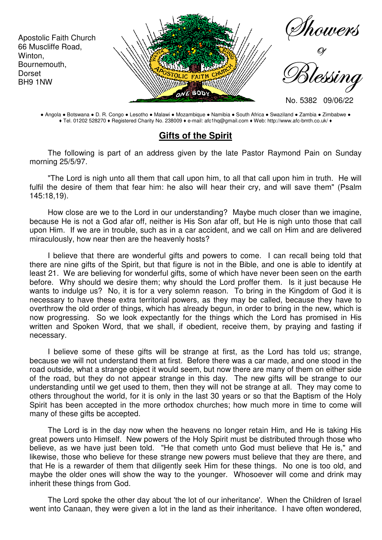

● Angola ● Botswana ● D. R. Congo ● Lesotho ● Malawi ● Mozambique ● Namibia ● South Africa ● Swaziland ● Zambia ● Zimbabwe ● ♦ Tel. 01202 528270 ♦ Registered Charity No. 238009 ♦ e-mail: afc1hq@gmail.com ♦ Web: http://www.afc-bmth.co.uk/ ♦

## **Gifts of the Spirit**

The following is part of an address given by the late Pastor Raymond Pain on Sunday morning 25/5/97.

"The Lord is nigh unto all them that call upon him, to all that call upon him in truth. He will fulfil the desire of them that fear him: he also will hear their cry, and will save them" (Psalm 145:18,19).

How close are we to the Lord in our understanding? Maybe much closer than we imagine, because He is not a God afar off, neither is His Son afar off, but He is nigh unto those that call upon Him. If we are in trouble, such as in a car accident, and we call on Him and are delivered miraculously, how near then are the heavenly hosts?

I believe that there are wonderful gifts and powers to come. I can recall being told that there are nine gifts of the Spirit, but that figure is not in the Bible, and one is able to identify at least 21. We are believing for wonderful gifts, some of which have never been seen on the earth before. Why should we desire them; why should the Lord proffer them. Is it just because He wants to indulge us? No, it is for a very solemn reason. To bring in the Kingdom of God it is necessary to have these extra territorial powers, as they may be called, because they have to overthrow the old order of things, which has already begun, in order to bring in the new, which is now progressing. So we look expectantly for the things which the Lord has promised in His written and Spoken Word, that we shall, if obedient, receive them, by praying and fasting if necessary.

I believe some of these gifts will be strange at first, as the Lord has told us; strange, because we will not understand them at first. Before there was a car made, and one stood in the road outside, what a strange object it would seem, but now there are many of them on either side of the road, but they do not appear strange in this day. The new gifts will be strange to our understanding until we get used to them, then they will not be strange at all. They may come to others throughout the world, for it is only in the last 30 years or so that the Baptism of the Holy Spirit has been accepted in the more orthodox churches; how much more in time to come will many of these gifts be accepted.

The Lord is in the day now when the heavens no longer retain Him, and He is taking His great powers unto Himself. New powers of the Holy Spirit must be distributed through those who believe, as we have just been told. "He that cometh unto God must believe that He is," and likewise, those who believe for these strange new powers must believe that they are there, and that He is a rewarder of them that diligently seek Him for these things. No one is too old, and maybe the older ones will show the way to the younger. Whosoever will come and drink may inherit these things from God.

The Lord spoke the other day about 'the lot of our inheritance'. When the Children of Israel went into Canaan, they were given a lot in the land as their inheritance. I have often wondered,